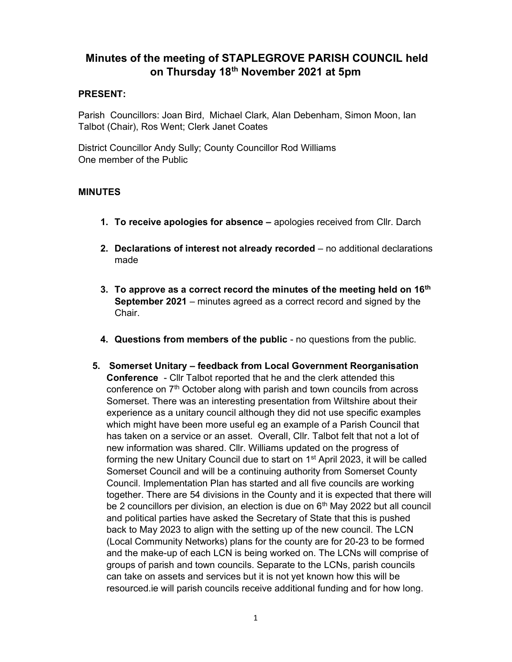# Minutes of the meeting of STAPLEGROVE PARISH COUNCIL held on Thursday 18<sup>th</sup> November 2021 at 5pm

#### PRESENT:

Parish Councillors: Joan Bird, Michael Clark, Alan Debenham, Simon Moon, Ian Talbot (Chair), Ros Went; Clerk Janet Coates

District Councillor Andy Sully; County Councillor Rod Williams One member of the Public

## MINUTES

- 1. To receive apologies for absence apologies received from Cllr. Darch
- 2. Declarations of interest not already recorded no additional declarations made
- 3. To approve as a correct record the minutes of the meeting held on  $16<sup>th</sup>$ September 2021 – minutes agreed as a correct record and signed by the Chair.
- 4. Questions from members of the public no questions from the public.
- 5. Somerset Unitary feedback from Local Government Reorganisation Conference - Cllr Talbot reported that he and the clerk attended this conference on 7<sup>th</sup> October along with parish and town councils from across Somerset. There was an interesting presentation from Wiltshire about their experience as a unitary council although they did not use specific examples which might have been more useful eg an example of a Parish Council that has taken on a service or an asset. Overall, Cllr. Talbot felt that not a lot of new information was shared. Cllr. Williams updated on the progress of forming the new Unitary Council due to start on 1<sup>st</sup> April 2023, it will be called Somerset Council and will be a continuing authority from Somerset County Council. Implementation Plan has started and all five councils are working together. There are 54 divisions in the County and it is expected that there will be 2 councillors per division, an election is due on  $6<sup>th</sup>$  May 2022 but all council and political parties have asked the Secretary of State that this is pushed back to May 2023 to align with the setting up of the new council. The LCN (Local Community Networks) plans for the county are for 20-23 to be formed and the make-up of each LCN is being worked on. The LCNs will comprise of groups of parish and town councils. Separate to the LCNs, parish councils can take on assets and services but it is not yet known how this will be resourced.ie will parish councils receive additional funding and for how long.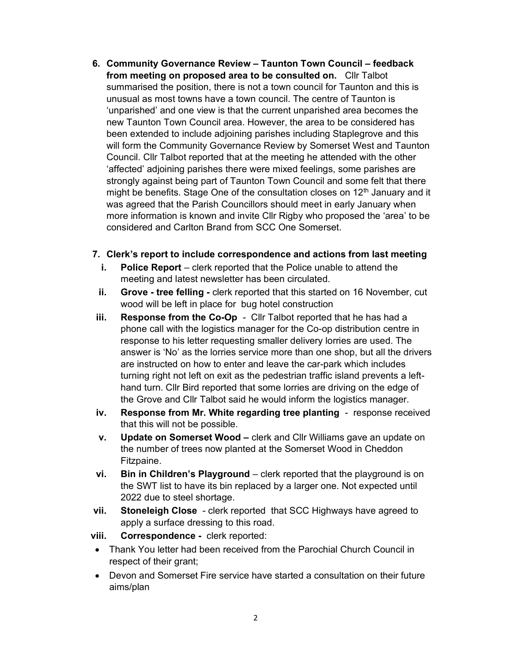6. Community Governance Review – Taunton Town Council – feedback from meeting on proposed area to be consulted on. Cllr Talbot summarised the position, there is not a town council for Taunton and this is unusual as most towns have a town council. The centre of Taunton is 'unparished' and one view is that the current unparished area becomes the new Taunton Town Council area. However, the area to be considered has been extended to include adjoining parishes including Staplegrove and this will form the Community Governance Review by Somerset West and Taunton Council. Cllr Talbot reported that at the meeting he attended with the other 'affected' adjoining parishes there were mixed feelings, some parishes are strongly against being part of Taunton Town Council and some felt that there might be benefits. Stage One of the consultation closes on  $12<sup>th</sup>$  January and it was agreed that the Parish Councillors should meet in early January when more information is known and invite Cllr Rigby who proposed the 'area' to be considered and Carlton Brand from SCC One Somerset.

#### 7. Clerk's report to include correspondence and actions from last meeting

- i. Police Report clerk reported that the Police unable to attend the meeting and latest newsletter has been circulated.
- ii. Grove tree felling clerk reported that this started on 16 November, cut wood will be left in place for bug hotel construction
- iii. Response from the Co-Op Cllr Talbot reported that he has had a phone call with the logistics manager for the Co-op distribution centre in response to his letter requesting smaller delivery lorries are used. The answer is 'No' as the lorries service more than one shop, but all the drivers are instructed on how to enter and leave the car-park which includes turning right not left on exit as the pedestrian traffic island prevents a lefthand turn. Cllr Bird reported that some lorries are driving on the edge of the Grove and Cllr Talbot said he would inform the logistics manager.
- iv. Response from Mr. White regarding tree planting response received that this will not be possible.
- v. Update on Somerset Wood clerk and Cllr Williams gave an update on the number of trees now planted at the Somerset Wood in Cheddon Fitzpaine.
- vi. Bin in Children's Playground clerk reported that the playground is on the SWT list to have its bin replaced by a larger one. Not expected until 2022 due to steel shortage.
- vii. Stoneleigh Close clerk reported that SCC Highways have agreed to apply a surface dressing to this road.
- viii. Correspondence clerk reported:
- Thank You letter had been received from the Parochial Church Council in respect of their grant;
- Devon and Somerset Fire service have started a consultation on their future aims/plan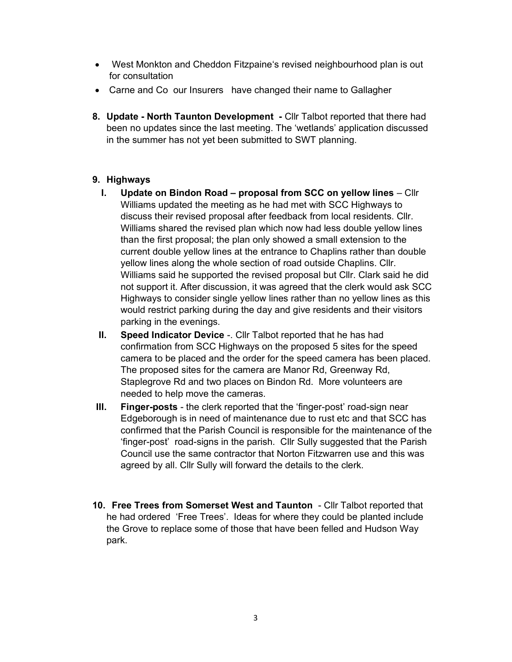- West Monkton and Cheddon Fitzpaine's revised neighbourhood plan is out for consultation
- Carne and Co our Insurers have changed their name to Gallagher
- 8. Update North Taunton Development Cllr Talbot reported that there had been no updates since the last meeting. The 'wetlands' application discussed in the summer has not yet been submitted to SWT planning.

## 9. Highways

- I. Update on Bindon Road proposal from SCC on yellow lines Cllr Williams updated the meeting as he had met with SCC Highways to discuss their revised proposal after feedback from local residents. Cllr. Williams shared the revised plan which now had less double yellow lines than the first proposal; the plan only showed a small extension to the current double yellow lines at the entrance to Chaplins rather than double yellow lines along the whole section of road outside Chaplins. Cllr. Williams said he supported the revised proposal but Cllr. Clark said he did not support it. After discussion, it was agreed that the clerk would ask SCC Highways to consider single yellow lines rather than no yellow lines as this would restrict parking during the day and give residents and their visitors parking in the evenings.
- II. Speed Indicator Device -. Cllr Talbot reported that he has had confirmation from SCC Highways on the proposed 5 sites for the speed camera to be placed and the order for the speed camera has been placed. The proposed sites for the camera are Manor Rd, Greenway Rd, Staplegrove Rd and two places on Bindon Rd. More volunteers are needed to help move the cameras.
- III. Finger-posts the clerk reported that the 'finger-post' road-sign near Edgeborough is in need of maintenance due to rust etc and that SCC has confirmed that the Parish Council is responsible for the maintenance of the 'finger-post' road-signs in the parish. Cllr Sully suggested that the Parish Council use the same contractor that Norton Fitzwarren use and this was agreed by all. Cllr Sully will forward the details to the clerk.
- 10. Free Trees from Somerset West and Taunton Cllr Talbot reported that he had ordered 'Free Trees'. Ideas for where they could be planted include the Grove to replace some of those that have been felled and Hudson Way park.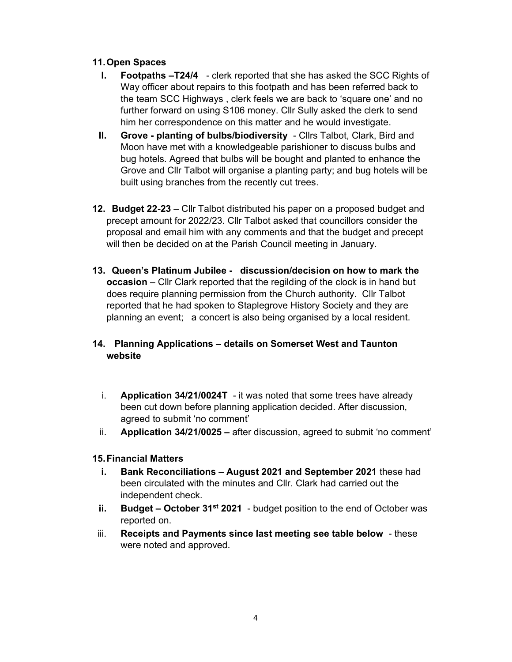#### 11. Open Spaces

- I. Footpaths –T24/4 clerk reported that she has asked the SCC Rights of Way officer about repairs to this footpath and has been referred back to the team SCC Highways , clerk feels we are back to 'square one' and no further forward on using S106 money. Cllr Sully asked the clerk to send him her correspondence on this matter and he would investigate.
- II. Grove planting of bulbs/biodiversity Cllrs Talbot, Clark, Bird and Moon have met with a knowledgeable parishioner to discuss bulbs and bug hotels. Agreed that bulbs will be bought and planted to enhance the Grove and Cllr Talbot will organise a planting party; and bug hotels will be built using branches from the recently cut trees.
- 12. Budget 22-23 Cllr Talbot distributed his paper on a proposed budget and precept amount for 2022/23. Cllr Talbot asked that councillors consider the proposal and email him with any comments and that the budget and precept will then be decided on at the Parish Council meeting in January.
- 13. Queen's Platinum Jubilee discussion/decision on how to mark the occasion – Cllr Clark reported that the regilding of the clock is in hand but does require planning permission from the Church authority. Cllr Talbot reported that he had spoken to Staplegrove History Society and they are planning an event; a concert is also being organised by a local resident.

#### 14. Planning Applications – details on Somerset West and Taunton website

- i. **Application 34/21/0024T** it was noted that some trees have already been cut down before planning application decided. After discussion, agreed to submit 'no comment'
- ii. Application 34/21/0025 after discussion, agreed to submit 'no comment'

#### 15. Financial Matters

- i. Bank Reconciliations August 2021 and September 2021 these had been circulated with the minutes and Cllr. Clark had carried out the independent check.
- ii. Budget October 31<sup>st</sup> 2021 budget position to the end of October was reported on.
- iii. Receipts and Payments since last meeting see table below these were noted and approved.